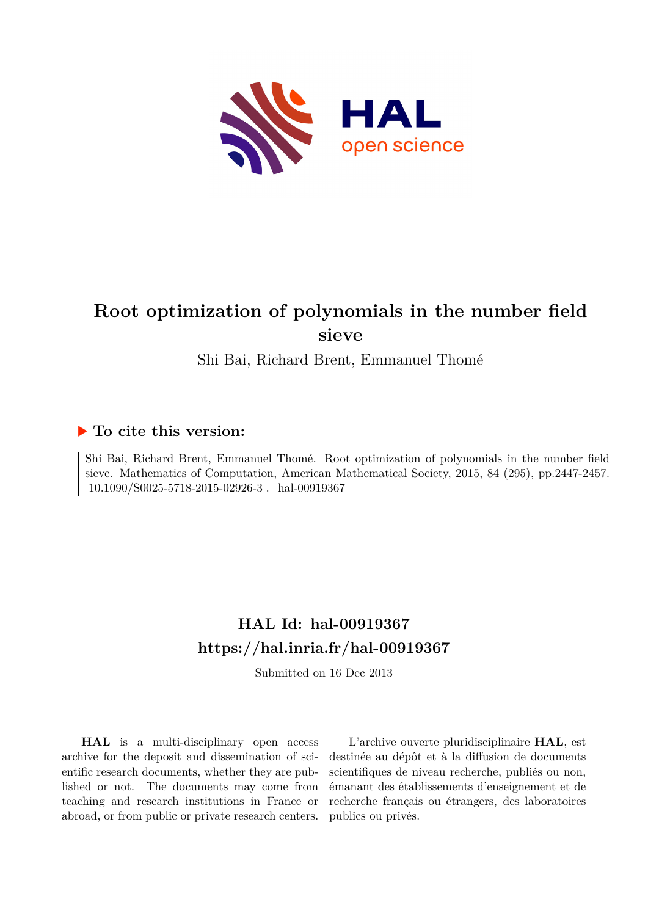

# **Root optimization of polynomials in the number field sieve**

Shi Bai, Richard Brent, Emmanuel Thomé

### **To cite this version:**

Shi Bai, Richard Brent, Emmanuel Thomé. Root optimization of polynomials in the number field sieve. Mathematics of Computation, American Mathematical Society, 2015, 84 (295), pp.2447-2457. 10.1090/S0025-5718-2015-02926-3. hal-00919367

## **HAL Id: hal-00919367 <https://hal.inria.fr/hal-00919367>**

Submitted on 16 Dec 2013

**HAL** is a multi-disciplinary open access archive for the deposit and dissemination of scientific research documents, whether they are published or not. The documents may come from teaching and research institutions in France or abroad, or from public or private research centers.

L'archive ouverte pluridisciplinaire **HAL**, est destinée au dépôt et à la diffusion de documents scientifiques de niveau recherche, publiés ou non, émanant des établissements d'enseignement et de recherche français ou étrangers, des laboratoires publics ou privés.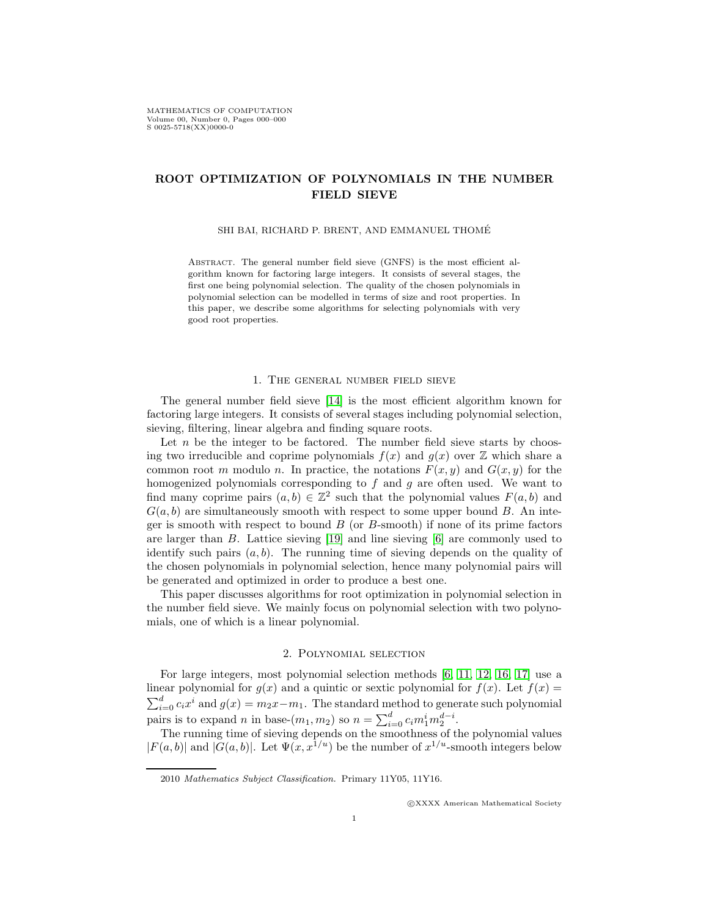### ROOT OPTIMIZATION OF POLYNOMIALS IN THE NUMBER FIELD SIEVE

#### SHI BAI, RICHARD P. BRENT, AND EMMANUEL THOME´

ABSTRACT. The general number field sieve (GNFS) is the most efficient algorithm known for factoring large integers. It consists of several stages, the first one being polynomial selection. The quality of the chosen polynomials in polynomial selection can be modelled in terms of size and root properties. In this paper, we describe some algorithms for selecting polynomials with very good root properties.

#### 1. The general number field sieve

The general number field sieve [\[14\]](#page-10-0) is the most efficient algorithm known for factoring large integers. It consists of several stages including polynomial selection, sieving, filtering, linear algebra and finding square roots.

Let  $n$  be the integer to be factored. The number field sieve starts by choosing two irreducible and coprime polynomials  $f(x)$  and  $g(x)$  over  $\mathbb Z$  which share a common root m modulo n. In practice, the notations  $F(x, y)$  and  $G(x, y)$  for the homogenized polynomials corresponding to  $f$  and  $g$  are often used. We want to find many coprime pairs  $(a, b) \in \mathbb{Z}^2$  such that the polynomial values  $F(a, b)$  and  $G(a, b)$  are simultaneously smooth with respect to some upper bound B. An integer is smooth with respect to bound  $B$  (or  $B$ -smooth) if none of its prime factors are larger than B. Lattice sieving [\[19\]](#page-11-0) and line sieving [\[6\]](#page-10-1) are commonly used to identify such pairs  $(a, b)$ . The running time of sieving depends on the quality of the chosen polynomials in polynomial selection, hence many polynomial pairs will be generated and optimized in order to produce a best one.

This paper discusses algorithms for root optimization in polynomial selection in the number field sieve. We mainly focus on polynomial selection with two polynomials, one of which is a linear polynomial.

#### 2. Polynomial selection

For large integers, most polynomial selection methods [\[6,](#page-10-1) [11,](#page-10-2) [12,](#page-10-3) [16,](#page-11-1) [17\]](#page-11-2) use a linear polynomial for  $g(x)$  and a quintic or sextic polynomial for  $f(x)$ . Let  $f(x)$  $\sum_{i=0}^{d} c_i x^i$  and  $g(x) = m_2 x - m_1$ . The standard method to generate such polynomial pairs is to expand *n* in base- $(m_1, m_2)$  so  $n = \sum_{i=0}^{d} c_i m_1^i m_2^{d-i}$ .

The running time of sieving depends on the smoothness of the polynomial values  $|F(a, b)|$  and  $|G(a, b)|$ . Let  $\Psi(x, x^{1/u})$  be the number of  $x^{1/u}$ -smooth integers below

c XXXX American Mathematical Society

<sup>2010</sup> *Mathematics Subject Classification.* Primary 11Y05, 11Y16.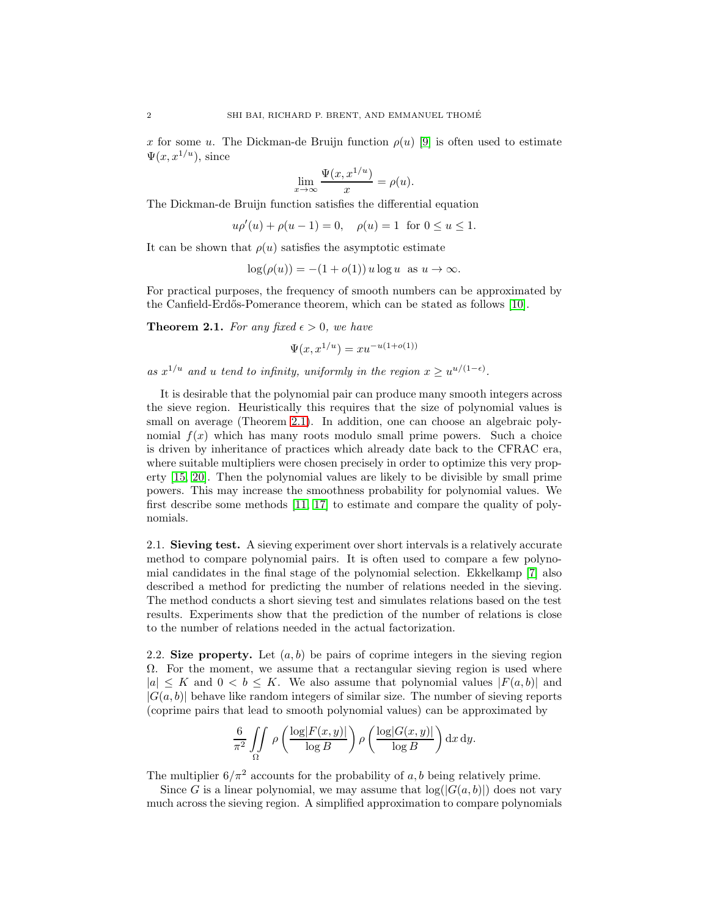x for some u. The Dickman-de Bruijn function  $\rho(u)$  [\[9\]](#page-10-4) is often used to estimate  $\Psi(x, x^{1/u})$ , since

$$
\lim_{x \to \infty} \frac{\Psi(x, x^{1/u})}{x} = \rho(u).
$$

The Dickman-de Bruijn function satisfies the differential equation

$$
u\rho'(u) + \rho(u-1) = 0
$$
,  $\rho(u) = 1$  for  $0 \le u \le 1$ .

It can be shown that  $\rho(u)$  satisfies the asymptotic estimate

$$
\log(\rho(u)) = -(1 + o(1)) u \log u \text{ as } u \to \infty.
$$

For practical purposes, the frequency of smooth numbers can be approximated by the Canfield-Erd˝os-Pomerance theorem, which can be stated as follows [\[10\]](#page-10-5).

<span id="page-2-0"></span>**Theorem 2.1.** For any fixed  $\epsilon > 0$ , we have

$$
\Psi(x, x^{1/u}) = xu^{-u(1+o(1))}
$$

as  $x^{1/u}$  and u tend to infinity, uniformly in the region  $x \geq u^{u/(1-\epsilon)}$ .

It is desirable that the polynomial pair can produce many smooth integers across the sieve region. Heuristically this requires that the size of polynomial values is small on average (Theorem [2.1\)](#page-2-0). In addition, one can choose an algebraic polynomial  $f(x)$  which has many roots modulo small prime powers. Such a choice is driven by inheritance of practices which already date back to the CFRAC era, where suitable multipliers were chosen precisely in order to optimize this very property [\[15,](#page-10-6) [20\]](#page-11-3). Then the polynomial values are likely to be divisible by small prime powers. This may increase the smoothness probability for polynomial values. We first describe some methods [\[11,](#page-10-2) [17\]](#page-11-2) to estimate and compare the quality of polynomials.

2.1. Sieving test. A sieving experiment over short intervals is a relatively accurate method to compare polynomial pairs. It is often used to compare a few polynomial candidates in the final stage of the polynomial selection. Ekkelkamp [\[7\]](#page-10-7) also described a method for predicting the number of relations needed in the sieving. The method conducts a short sieving test and simulates relations based on the test results. Experiments show that the prediction of the number of relations is close to the number of relations needed in the actual factorization.

<span id="page-2-1"></span>2.2. Size property. Let  $(a, b)$  be pairs of coprime integers in the sieving region  $\Omega$ . For the moment, we assume that a rectangular sieving region is used where  $|a| \leq K$  and  $0 \leq b \leq K$ . We also assume that polynomial values  $|F(a, b)|$  and  $|G(a, b)|$  behave like random integers of similar size. The number of sieving reports (coprime pairs that lead to smooth polynomial values) can be approximated by

$$
\frac{6}{\pi^2} \iint\limits_{\Omega} \rho\left(\frac{\log |F(x, y)|}{\log B}\right) \rho\left(\frac{\log |G(x, y)|}{\log B}\right) dx dy.
$$

The multiplier  $6/\pi^2$  accounts for the probability of a, b being relatively prime.

Since G is a linear polynomial, we may assume that  $log(|G(a, b)|)$  does not vary much across the sieving region. A simplified approximation to compare polynomials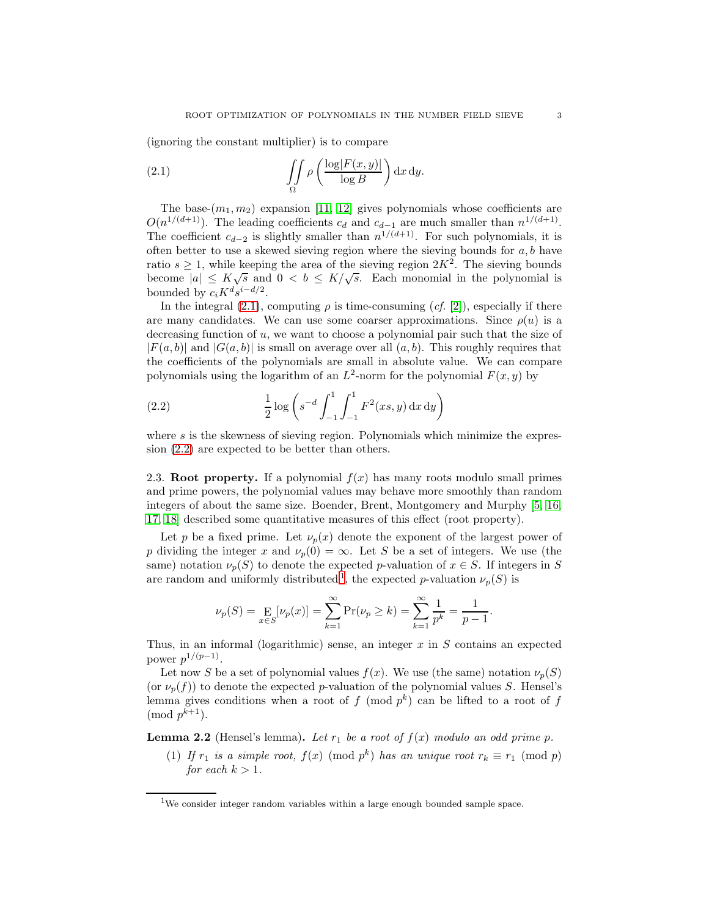(ignoring the constant multiplier) is to compare

<span id="page-3-0"></span>(2.1) 
$$
\iint\limits_{\Omega} \rho\left(\frac{\log|F(x,y)|}{\log B}\right) \mathrm{d}x \, \mathrm{d}y.
$$

The base- $(m_1, m_2)$  expansion [\[11,](#page-10-2) [12\]](#page-10-3) gives polynomials whose coefficients are  $O(n^{1/(d+1)})$ . The leading coefficients  $c_d$  and  $c_{d-1}$  are much smaller than  $n^{1/(d+1)}$ . The coefficient  $c_{d-2}$  is slightly smaller than  $n^{1/(d+1)}$ . For such polynomials, it is often better to use a skewed sieving region where the sieving bounds for  $a, b$  have ratio  $s \geq 1$ , while keeping the area of the sieving region  $2K^2$ . The sieving bounds become  $|a| \leq K\sqrt{s}$  and  $0 < b \leq K/\sqrt{s}$ . Each monomial in the polynomial is bounded by  $c_i K^d s^{i-d/2}$ .

In the integral [\(2.1\)](#page-3-0), computing  $\rho$  is time-consuming (*cf.* [\[2\]](#page-10-8)), especially if there are many candidates. We can use some coarser approximations. Since  $\rho(u)$  is a decreasing function of  $u$ , we want to choose a polynomial pair such that the size of  $|F(a, b)|$  and  $|G(a, b)|$  is small on average over all  $(a, b)$ . This roughly requires that the coefficients of the polynomials are small in absolute value. We can compare polynomials using the logarithm of an  $L^2$ -norm for the polynomial  $F(x, y)$  by

<span id="page-3-1"></span>(2.2) 
$$
\frac{1}{2} \log \left( s^{-d} \int_{-1}^{1} \int_{-1}^{1} F^2(xs, y) \, dx \, dy \right)
$$

where s is the skewness of sieving region. Polynomials which minimize the expression [\(2.2\)](#page-3-1) are expected to be better than others.

2.3. Root property. If a polynomial  $f(x)$  has many roots modulo small primes and prime powers, the polynomial values may behave more smoothly than random integers of about the same size. Boender, Brent, Montgomery and Murphy [\[5,](#page-10-9) [16,](#page-11-1) [17,](#page-11-2) [18\]](#page-11-4) described some quantitative measures of this effect (root property).

Let p be a fixed prime. Let  $\nu_p(x)$  denote the exponent of the largest power of p dividing the integer x and  $\nu_p(0) = \infty$ . Let S be a set of integers. We use (the same) notation  $\nu_p(S)$  to denote the expected p-valuation of  $x \in S$ . If integers in S are random and uniformly distributed<sup>[1](#page-3-2)</sup>, the expected p-valuation  $\nu_p(S)$  is

$$
\nu_p(S) = \mathop{\mathbf{E}}_{x \in S}[\nu_p(x)] = \sum_{k=1}^{\infty} \Pr(\nu_p \ge k) = \sum_{k=1}^{\infty} \frac{1}{p^k} = \frac{1}{p-1}.
$$

Thus, in an informal (logarithmic) sense, an integer  $x$  in  $S$  contains an expected power  $p^{1/(p-1)}$ .

Let now S be a set of polynomial values  $f(x)$ . We use (the same) notation  $\nu_p(S)$ (or  $\nu_p(f)$ ) to denote the expected p-valuation of the polynomial values S. Hensel's lemma gives conditions when a root of  $f \pmod{p^k}$  can be lifted to a root of  $f$  $\pmod{p^{k+1}}$ .

<span id="page-3-3"></span>**Lemma 2.2** (Hensel's lemma). Let  $r_1$  be a root of  $f(x)$  modulo an odd prime p.

(1) If  $r_1$  is a simple root,  $f(x) \pmod{p^k}$  has an unique root  $r_k \equiv r_1 \pmod{p}$ for each  $k > 1$ .

<span id="page-3-2"></span> $1$ We consider integer random variables within a large enough bounded sample space.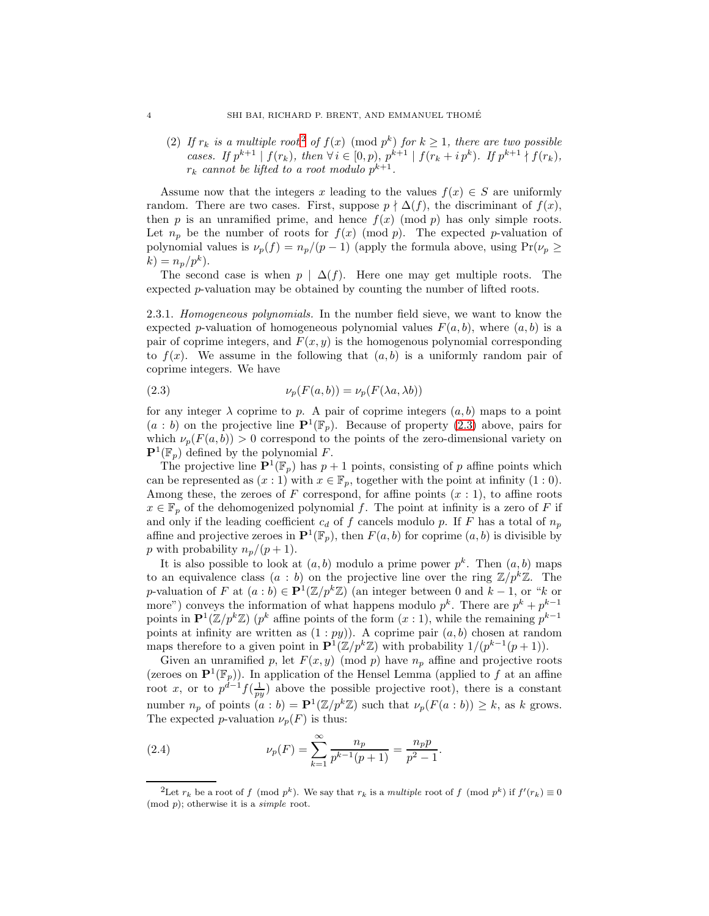([2](#page-4-0)) If  $r_k$  is a multiple root<sup>2</sup> of  $f(x) \pmod{p^k}$  for  $k \ge 1$ , there are two possible cases. If  $p^{k+1} | f(r_k)$ , then  $\forall i \in [0, p)$ ,  $p^{k+1} | f(r_k + i p^k)$ . If  $p^{k+1} \nmid f(r_k)$ ,  $r_k$  cannot be lifted to a root modulo  $p^{k+1}$ .

Assume now that the integers x leading to the values  $f(x) \in S$  are uniformly random. There are two cases. First, suppose  $p \nmid \Delta(f)$ , the discriminant of  $f(x)$ , then p is an unramified prime, and hence  $f(x) \pmod{p}$  has only simple roots. Let  $n_p$  be the number of roots for  $f(x)$  (mod p). The expected p-valuation of polynomial values is  $\nu_p(f) = n_p/(p-1)$  (apply the formula above, using  $Pr(\nu_p \geq$  $k) = n_p/p^k$ .

The second case is when  $p | \Delta(f)$ . Here one may get multiple roots. The expected p-valuation may be obtained by counting the number of lifted roots.

2.3.1. Homogeneous polynomials. In the number field sieve, we want to know the expected p-valuation of homogeneous polynomial values  $F(a, b)$ , where  $(a, b)$  is a pair of coprime integers, and  $F(x, y)$  is the homogenous polynomial corresponding to  $f(x)$ . We assume in the following that  $(a, b)$  is a uniformly random pair of coprime integers. We have

<span id="page-4-1"></span>(2.3) 
$$
\nu_p(F(a,b)) = \nu_p(F(\lambda a, \lambda b))
$$

for any integer  $\lambda$  coprime to p. A pair of coprime integers  $(a, b)$  maps to a point  $(a : b)$  on the projective line  $\mathbf{P}^1(\mathbb{F}_p)$ . Because of property [\(2.3\)](#page-4-1) above, pairs for which  $\nu_p(F(a, b)) > 0$  correspond to the points of the zero-dimensional variety on  $\mathbf{P}^1(\mathbb{F}_p)$  defined by the polynomial F.

The projective line  $\mathbf{P}^1(\mathbb{F}_p)$  has  $p+1$  points, consisting of p affine points which can be represented as  $(x:1)$  with  $x \in \mathbb{F}_p$ , together with the point at infinity  $(1:0)$ . Among these, the zeroes of F correspond, for affine points  $(x:1)$ , to affine roots  $x \in \mathbb{F}_p$  of the dehomogenized polynomial f. The point at infinity is a zero of F if and only if the leading coefficient  $c_d$  of f cancels modulo p. If F has a total of  $n_p$ affine and projective zeroes in  $\mathbf{P}^1(\mathbb{F}_p)$ , then  $F(a, b)$  for coprime  $(a, b)$  is divisible by p with probability  $n_p/(p+1)$ .

It is also possible to look at  $(a, b)$  modulo a prime power  $p^k$ . Then  $(a, b)$  maps to an equivalence class  $(a : b)$  on the projective line over the ring  $\mathbb{Z}/p^k\mathbb{Z}$ . The p-valuation of F at  $(a:b) \in \mathbf{P}^1(\mathbb{Z}/p^k\mathbb{Z})$  (an integer between 0 and  $k-1$ , or "k or more") conveys the information of what happens modulo  $p^k$ . There are  $p^k + p^{k-1}$ points in  $\mathbf{P}^1(\mathbb{Z}/p^k\mathbb{Z})$  ( $p^k$  affine points of the form  $(x:1)$ , while the remaining  $p^{k-1}$ points at infinity are written as  $(1:py)$ ). A coprime pair  $(a, b)$  chosen at random maps therefore to a given point in  $\mathbf{P}^1(\mathbb{Z}/p^k\mathbb{Z})$  with probability  $1/(p^{k-1}(p+1))$ .

Given an unramified p, let  $F(x, y) \pmod{p}$  have  $n_p$  affine and projective roots (zeroes on  $\mathbf{P}^1(\mathbb{F}_p)$ ). In application of the Hensel Lemma (applied to f at an affine root x, or to  $p^{d-1} f(\frac{1}{py})$  above the possible projective root), there is a constant number  $n_p$  of points  $(a : b) = \mathbf{P}^1(\mathbb{Z}/p^k\mathbb{Z})$  such that  $\nu_p(F(a : b)) \geq k$ , as k grows. The expected p-valuation  $\nu_p(F)$  is thus:

<span id="page-4-2"></span>(2.4) 
$$
\nu_p(F) = \sum_{k=1}^{\infty} \frac{n_p}{p^{k-1}(p+1)} = \frac{n_p p}{p^2 - 1}.
$$

<span id="page-4-0"></span><sup>&</sup>lt;sup>2</sup>Let  $r_k$  be a root of f (mod  $p^k$ ). We say that  $r_k$  is a *multiple* root of f (mod  $p^k$ ) if  $f'(r_k) \equiv 0$ (mod p); otherwise it is a *simple* root.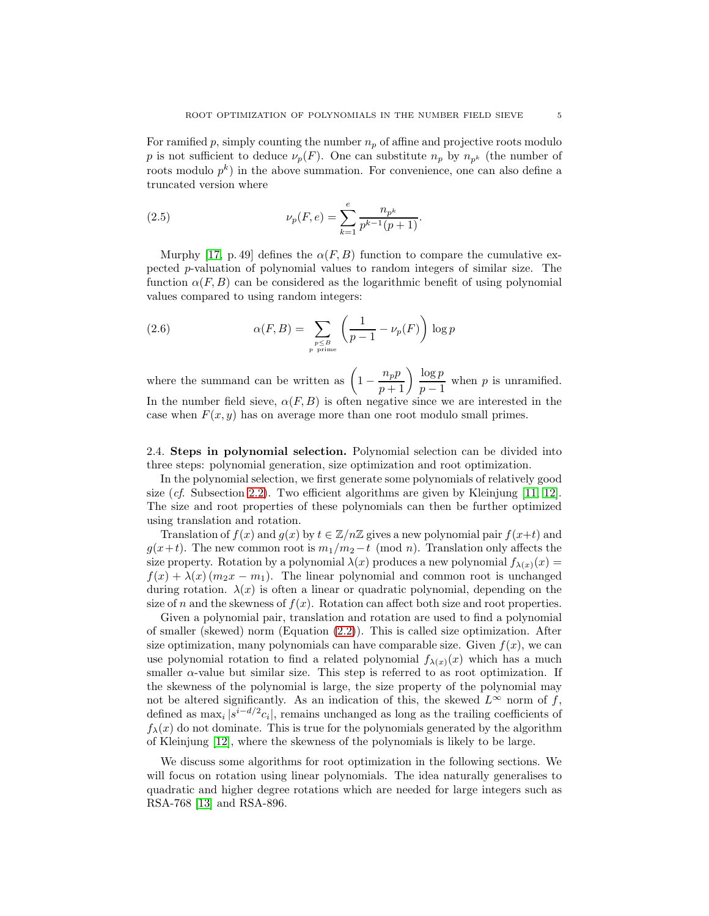For ramified p, simply counting the number  $n_p$  of affine and projective roots modulo p is not sufficient to deduce  $\nu_p(F)$ . One can substitute  $n_p$  by  $n_{p^k}$  (the number of roots modulo  $p^k$ ) in the above summation. For convenience, one can also define a truncated version where

<span id="page-5-1"></span>(2.5) 
$$
\nu_p(F,e) = \sum_{k=1}^e \frac{n_{p^k}}{p^{k-1}(p+1)}.
$$

Murphy [\[17,](#page-11-2) p. 49] defines the  $\alpha(F, B)$  function to compare the cumulative expected p-valuation of polynomial values to random integers of similar size. The function  $\alpha(F, B)$  can be considered as the logarithmic benefit of using polynomial values compared to using random integers:

<span id="page-5-0"></span>(2.6) 
$$
\alpha(F, B) = \sum_{\substack{p \leq B \\ p \text{ prime}}} \left( \frac{1}{p - 1} - \nu_p(F) \right) \log p
$$

where the summand can be written as  $\left(1 - \frac{n_p p}{p+1}\right) \frac{\log p}{p-1}$  $\frac{\log P}{p-1}$  when p is unramified. In the number field sieve,  $\alpha(F, B)$  is often negative since we are interested in the case when  $F(x, y)$  has on average more than one root modulo small primes.

2.4. Steps in polynomial selection. Polynomial selection can be divided into three steps: polynomial generation, size optimization and root optimization.

In the polynomial selection, we first generate some polynomials of relatively good size  $(cf. Subsection 2.2)$  $(cf. Subsection 2.2)$ . Two efficient algorithms are given by Kleinjung [\[11,](#page-10-2) [12\]](#page-10-3). The size and root properties of these polynomials can then be further optimized using translation and rotation.

Translation of  $f(x)$  and  $g(x)$  by  $t \in \mathbb{Z}/n\mathbb{Z}$  gives a new polynomial pair  $f(x+t)$  and  $g(x+t)$ . The new common root is  $m_1/m_2-t$  (mod n). Translation only affects the size property. Rotation by a polynomial  $\lambda(x)$  produces a new polynomial  $f_{\lambda(x)}(x) =$  $f(x) + \lambda(x) (m_2x - m_1)$ . The linear polynomial and common root is unchanged during rotation.  $\lambda(x)$  is often a linear or quadratic polynomial, depending on the size of n and the skewness of  $f(x)$ . Rotation can affect both size and root properties.

Given a polynomial pair, translation and rotation are used to find a polynomial of smaller (skewed) norm (Equation [\(2.2\)](#page-3-1)). This is called size optimization. After size optimization, many polynomials can have comparable size. Given  $f(x)$ , we can use polynomial rotation to find a related polynomial  $f_{\lambda(x)}(x)$  which has a much smaller  $\alpha$ -value but similar size. This step is referred to as root optimization. If the skewness of the polynomial is large, the size property of the polynomial may not be altered significantly. As an indication of this, the skewed  $L^{\infty}$  norm of f, defined as  $\max_i |s^{i-d/2}c_i|$ , remains unchanged as long as the trailing coefficients of  $f_{\lambda}(x)$  do not dominate. This is true for the polynomials generated by the algorithm of Kleinjung [\[12\]](#page-10-3), where the skewness of the polynomials is likely to be large.

We discuss some algorithms for root optimization in the following sections. We will focus on rotation using linear polynomials. The idea naturally generalises to quadratic and higher degree rotations which are needed for large integers such as RSA-768 [\[13\]](#page-10-10) and RSA-896.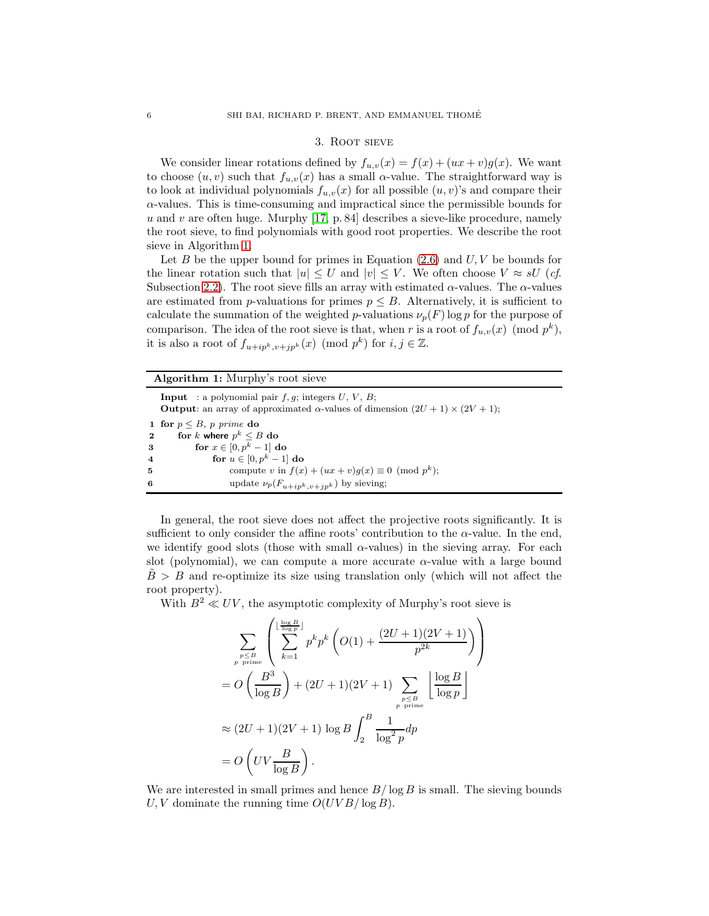#### 3. Root sieve

We consider linear rotations defined by  $f_{u,v}(x) = f(x) + (ux + v)g(x)$ . We want to choose  $(u, v)$  such that  $f_{u,v}(x)$  has a small  $\alpha$ -value. The straightforward way is to look at individual polynomials  $f_{u,v}(x)$  for all possible  $(u, v)$ 's and compare their  $\alpha$ -values. This is time-consuming and impractical since the permissible bounds for u and v are often huge. Murphy  $[17, p. 84]$  describes a sieve-like procedure, namely the root sieve, to find polynomials with good root properties. We describe the root sieve in Algorithm [1.](#page-6-0)

Let B be the upper bound for primes in Equation  $(2.6)$  and  $U, V$  be bounds for the linear rotation such that  $|u| \leq U$  and  $|v| \leq V$ . We often choose  $V \approx sU$  (*cf.*) Subsection [2.2\)](#page-2-1). The root sieve fills an array with estimated  $\alpha$ -values. The  $\alpha$ -values are estimated from p-valuations for primes  $p \leq B$ . Alternatively, it is sufficient to calculate the summation of the weighted p-valuations  $\nu_p(F)$  log p for the purpose of comparison. The idea of the root sieve is that, when r is a root of  $f_{u,v}(x) \pmod{p^k}$ , it is also a root of  $f_{u+ip^k, v+jp^k}(x) \pmod{p^k}$  for  $i, j \in \mathbb{Z}$ .

|                     | <b>Algorithm 1:</b> Murphy's root sieve                                                                                                                               |
|---------------------|-----------------------------------------------------------------------------------------------------------------------------------------------------------------------|
|                     | <b>Input</b> : a polynomial pair $f, g$ ; integers $U, V, B$ ;<br><b>Output</b> : an array of approximated $\alpha$ -values of dimension $(2U + 1) \times (2V + 1)$ ; |
|                     | 1 for $p \leq B$ , p prime do                                                                                                                                         |
| $\mathbf{2}$        | for k where $p^k \leq B$ do                                                                                                                                           |
| 3                   | for $x \in [0, p^k - 1]$ do                                                                                                                                           |
| $\overline{\bf{4}}$ | for $u \in [0, p^k - 1]$ do                                                                                                                                           |
| 5                   | compute v in $f(x) + (ux + v)q(x) \equiv 0 \pmod{p^k}$ ;                                                                                                              |
| 6                   | update $\nu_p(F_{u+ip^k, v+ip^k})$ by sieving;                                                                                                                        |

<span id="page-6-0"></span>In general, the root sieve does not affect the projective roots significantly. It is sufficient to only consider the affine roots' contribution to the  $\alpha$ -value. In the end, we identify good slots (those with small  $\alpha$ -values) in the sieving array. For each slot (polynomial), we can compute a more accurate  $\alpha$ -value with a large bound  $\overline{B} > B$  and re-optimize its size using translation only (which will not affect the root property).

With  $B^2 \ll UV$ , the asymptotic complexity of Murphy's root sieve is

$$
\sum_{\substack{p \leq B \\ p \text{ prime}}} \left( \sum_{k=1}^{\lfloor \frac{\log B}{\log p} \rfloor} p^k p^k \left( O(1) + \frac{(2U+1)(2V+1)}{p^{2k}} \right) \right)
$$
  
= 
$$
O\left( \frac{B^3}{\log B} \right) + (2U+1)(2V+1) \sum_{\substack{p \leq B \\ p \text{ prime}}} \left[ \frac{\log B}{\log p} \right]
$$
  

$$
\approx (2U+1)(2V+1) \log B \int_2^B \frac{1}{\log^2 p} dp
$$
  
= 
$$
O\left( UV \frac{B}{\log B} \right).
$$

We are interested in small primes and hence  $B/\log B$  is small. The sieving bounds U, V dominate the running time  $O(UVB/\log B)$ .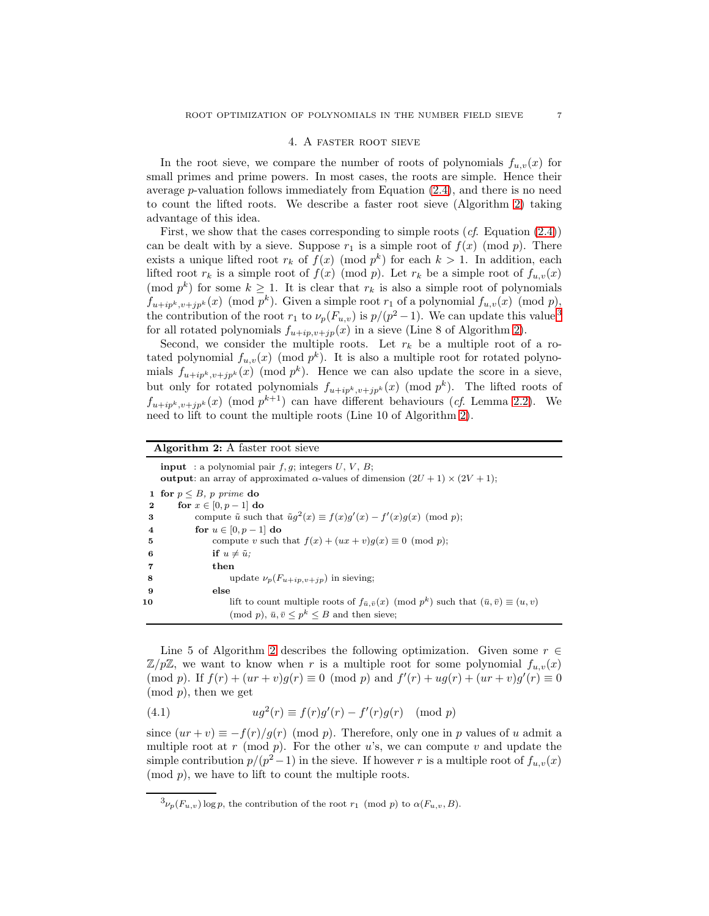#### 4. A faster root sieve

<span id="page-7-2"></span>In the root sieve, we compare the number of roots of polynomials  $f_{u,v}(x)$  for small primes and prime powers. In most cases, the roots are simple. Hence their average p-valuation follows immediately from Equation [\(2.4\)](#page-4-2), and there is no need to count the lifted roots. We describe a faster root sieve (Algorithm [2\)](#page-7-0) taking advantage of this idea.

First, we show that the cases corresponding to simple roots  $(cf. Equation (2.4))$  $(cf. Equation (2.4))$  $(cf. Equation (2.4))$ can be dealt with by a sieve. Suppose  $r_1$  is a simple root of  $f(x) \pmod{p}$ . There exists a unique lifted root  $r_k$  of  $f(x) \pmod{p^k}$  for each  $k > 1$ . In addition, each lifted root  $r_k$  is a simple root of  $f(x) \pmod{p}$ . Let  $r_k$  be a simple root of  $f_{u,v}(x)$ (mod  $p^k$ ) for some  $k \geq 1$ . It is clear that  $r_k$  is also a simple root of polynomials  $f_{u+ip^k, v+jp^k}(x) \pmod{p^k}$ . Given a simple root  $r_1$  of a polynomial  $f_{u,v}(x) \pmod{p}$ , the contribution of the root  $r_1$  to  $\nu_p(F_{u,v})$  is  $p/(p^2-1)$ . We can update this value <sup>[3](#page-7-1)</sup> for all rotated polynomials  $f_{u+ip,v+jp}(x)$  in a sieve (Line 8 of Algorithm [2\)](#page-7-0).

Second, we consider the multiple roots. Let  $r_k$  be a multiple root of a rotated polynomial  $f_{u,v}(x)$  (mod  $p^k$ ). It is also a multiple root for rotated polynomials  $f_{u+ip^k, v+jp^k}(x) \pmod{p^k}$ . Hence we can also update the score in a sieve, but only for rotated polynomials  $f_{u+ip^k,v+jp^k}(x) \pmod{p^k}$ . The lifted roots of  $f_{u+ip^k, v+jp^k}(x)$  (mod  $p^{k+1}$ ) can have different behaviours (*cf.* Lemma [2.2\)](#page-3-3). We need to lift to count the multiple roots (Line 10 of Algorithm [2\)](#page-7-0).

#### Algorithm 2: A faster root sieve

**input** : a polynomial pair  $f, g$ ; integers  $U, V, B$ ; **output**: an array of approximated α-values of dimension  $(2U + 1) \times (2V + 1)$ ; 1 for  $p \leq B$ *, p prime* do 2 for  $x \in [0, p-1]$  do 3 compute  $\tilde{u}$  such that  $\tilde{u}g^2(x) \equiv f(x)g'(x) - f'(x)g(x) \pmod{p}$ ; 4 for  $u \in [0, p-1]$  do 5 compute v such that  $f(x) + (ux + v)g(x) \equiv 0 \pmod{p}$ ; 6 if  $u \neq \tilde{u}$ ; 7 then 8 update  $\nu_p(F_{u+ip,v+jp})$  in sieving; 9 else 10 lift to count multiple roots of  $f_{\bar{u}, \bar{v}}(x) \pmod{p^k}$  such that  $(\bar{u}, \bar{v}) \equiv (u, v)$  $\pmod{p}, \bar{u}, \bar{v} \leq p^k \leq B$  and then sieve;

<span id="page-7-0"></span>Line 5 of Algorithm [2](#page-7-0) describes the following optimization. Given some  $r \in$  $\mathbb{Z}/p\mathbb{Z}$ , we want to know when r is a multiple root for some polynomial  $f_{u,v}(x)$ (mod *p*). If  $f(r) + (ur + v)g(r) \equiv 0 \pmod{p}$  and  $f'(r) + ug(r) + (ur + v)g'(r) \equiv 0$  $(mod p)$ , then we get

<span id="page-7-3"></span>(4.1) 
$$
ug^{2}(r) \equiv f(r)g'(r) - f'(r)g(r) \pmod{p}
$$

since  $(ur + v) \equiv -f(r)/g(r) \pmod{p}$ . Therefore, only one in p values of u admit a multiple root at r (mod  $p$ ). For the other u's, we can compute v and update the simple contribution  $p/(p^2-1)$  in the sieve. If however r is a multiple root of  $f_{u,v}(x)$  $(mod p)$ , we have to lift to count the multiple roots.

<span id="page-7-1"></span> ${}^3\nu_p(F_{u,v})$  log p, the contribution of the root  $r_1 \pmod{p}$  to  $\alpha(F_{u,v}, B)$ .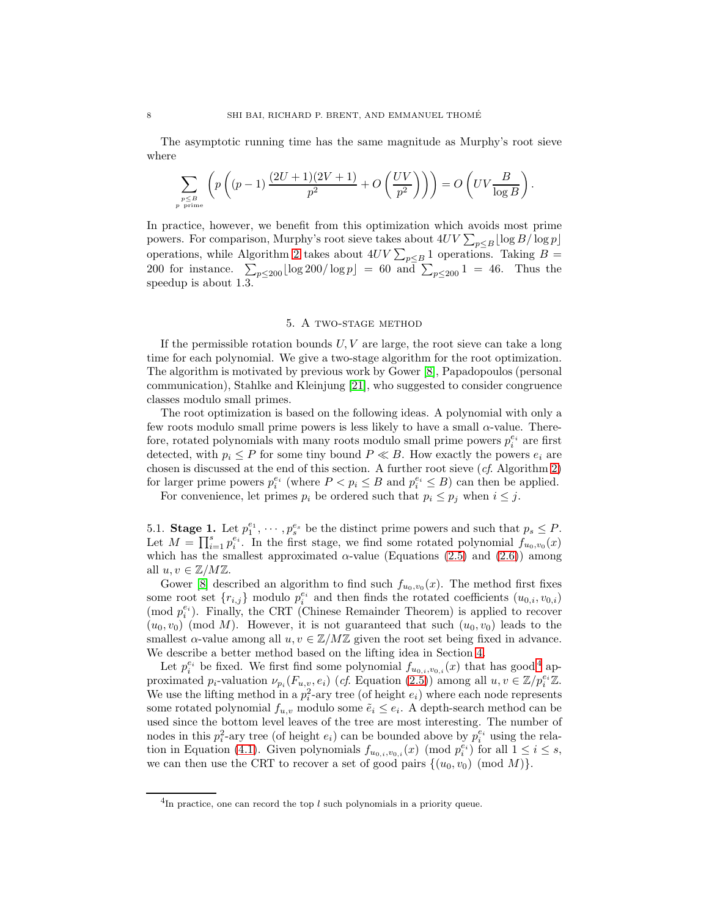The asymptotic running time has the same magnitude as Murphy's root sieve where

$$
\sum_{\substack{p\leq B \\ p \text{ prime}}} \left(p\left((p-1)\,\frac{(2U+1)(2V+1)}{p^2} + O\left(\frac{UV}{p^2}\right)\right)\right) = O\left(UV\frac{B}{\log B}\right).
$$

In practice, however, we benefit from this optimization which avoids most prime powers. For comparison, Murphy's root sieve takes about  $4UV \sum_{p \leq B} \lfloor \log B/\log p \rfloor$ operations, while Algorithm [2](#page-7-0) takes about  $4UV \sum_{p \leq B} 1$  operations. Taking  $B =$ 200 for instance.  $\sum_{p \le 200} \lfloor \log 200 / \log p \rfloor = 60$  and  $\sum_{p \le 200} 1 = 46$ . Thus the speedup is about 1.3.

#### 5. A two-stage method

If the permissible rotation bounds  $U, V$  are large, the root sieve can take a long time for each polynomial. We give a two-stage algorithm for the root optimization. The algorithm is motivated by previous work by Gower [\[8\]](#page-10-11), Papadopoulos (personal communication), Stahlke and Kleinjung [\[21\]](#page-11-5), who suggested to consider congruence classes modulo small primes.

The root optimization is based on the following ideas. A polynomial with only a few roots modulo small prime powers is less likely to have a small  $\alpha$ -value. Therefore, rotated polynomials with many roots modulo small prime powers  $p_i^{e_i}$  are first detected, with  $p_i \leq P$  for some tiny bound  $P \ll B$ . How exactly the powers  $e_i$  are chosen is discussed at the end of this section. A further root sieve  $(cf.$  Algorithm [2\)](#page-7-0) for larger prime powers  $p_i^{e_i}$  (where  $P < p_i \leq B$  and  $p_i^{e_i} \leq B$ ) can then be applied.

For convenience, let primes  $p_i$  be ordered such that  $p_i \leq p_j$  when  $i \leq j$ .

5.1. **Stage 1.** Let  $p_1^{e_1}, \dots, p_s^{e_s}$  be the distinct prime powers and such that  $p_s \leq P$ . Let  $M = \prod_{i=1}^{s} p_i^{e_i}$ . In the first stage, we find some rotated polynomial  $f_{u_0,v_0}(x)$ which has the smallest approximated  $\alpha$ -value (Equations [\(2.5\)](#page-5-1) and [\(2.6\)](#page-5-0)) among all  $u, v \in \mathbb{Z}/M\mathbb{Z}$ .

Gower [\[8\]](#page-10-11) described an algorithm to find such  $f_{u_0,v_0}(x)$ . The method first fixes some root set  $\{r_{i,j}\}$  modulo  $p_i^{e_i}$  and then finds the rotated coefficients  $(u_{0,i}, v_{0,i})$ (mod  $p_i^{e_i}$ ). Finally, the CRT (Chinese Remainder Theorem) is applied to recover  $(u_0, v_0)$  (mod M). However, it is not guaranteed that such  $(u_0, v_0)$  leads to the smallest  $\alpha$ -value among all  $u, v \in \mathbb{Z}/M\mathbb{Z}$  given the root set being fixed in advance. We describe a better method based on the lifting idea in Section [4.](#page-7-2)

Let  $p_i^{e_i}$  be fixed. We first find some polynomial  $f_{u_{0,i},v_{0,i}}(x)$  that has good<sup>[4](#page-8-0)</sup> approximated  $p_i$ -valuation  $\nu_{p_i}(F_{u,v}, e_i)$  (cf. Equation [\(2.5\)](#page-5-1)) among all  $u, v \in \mathbb{Z}/p_i^{e_i}\mathbb{Z}$ . We use the lifting method in a  $p_i^2$ -ary tree (of height  $e_i$ ) where each node represents some rotated polynomial  $f_{u,v}$  modulo some  $\tilde{e}_i \leq e_i$ . A depth-search method can be used since the bottom level leaves of the tree are most interesting. The number of nodes in this  $p_i^2$ -ary tree (of height  $e_i$ ) can be bounded above by  $p_i^{e_i}$  using the rela-tion in Equation [\(4.1\)](#page-7-3). Given polynomials  $f_{u_{0,i},v_{0,i}}(x) \pmod{p_i^{e_i}}$  for all  $1 \leq i \leq s$ , we can then use the CRT to recover a set of good pairs  $\{(u_0, v_0) \pmod{M}\}.$ 

<span id="page-8-0"></span> ${}^{4}$ In practice, one can record the top l such polynomials in a priority queue.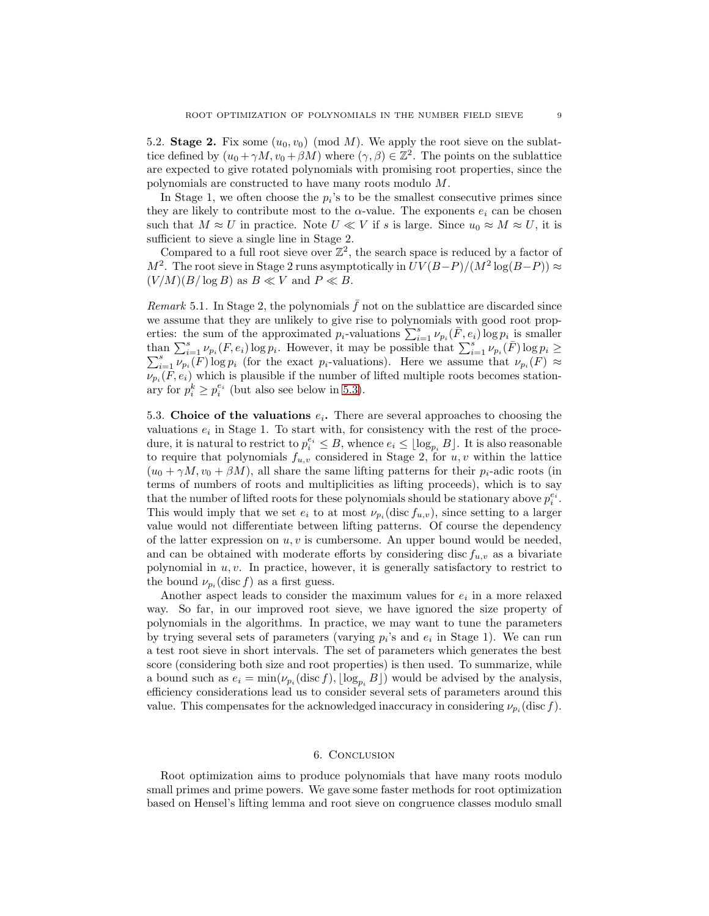5.2. Stage 2. Fix some  $(u_0, v_0) \pmod{M}$ . We apply the root sieve on the sublattice defined by  $(u_0 + \gamma M, v_0 + \beta M)$  where  $(\gamma, \beta) \in \mathbb{Z}^2$ . The points on the sublattice are expected to give rotated polynomials with promising root properties, since the polynomials are constructed to have many roots modulo M.

In Stage 1, we often choose the  $p_i$ 's to be the smallest consecutive primes since they are likely to contribute most to the  $\alpha$ -value. The exponents  $e_i$  can be chosen such that  $M \approx U$  in practice. Note  $U \ll V$  if s is large. Since  $u_0 \approx M \approx U$ , it is sufficient to sieve a single line in Stage 2.

Compared to a full root sieve over  $\mathbb{Z}^2$ , the search space is reduced by a factor of  $M^2$ . The root sieve in Stage 2 runs asymptotically in  $UV(B-P)/(M^2 \log(B-P)) \approx$  $(V/M)(B/\log B)$  as  $B \ll V$  and  $P \ll B$ .

Remark 5.1. In Stage 2, the polynomials  $\bar{f}$  not on the sublattice are discarded since we assume that they are unlikely to give rise to polynomials with good root properties: the sum of the approximated  $p_i$ -valuations  $\sum_{i=1}^s \nu_{p_i}(\bar{F}, e_i) \log p_i$  is smaller than  $\sum_{i=1}^s \nu_{p_i}(F,e_i) \log p_i$ . However, it may be possible that  $\sum_{i=1}^s \nu_{p_i}(F) \log p_i \ge$  $\sum_{i=1}^s \nu_{p_i}(F) \log p_i$  (for the exact p<sub>i</sub>-valuations). Here we assume that  $\nu_{p_i}(F) \approx$  $\nu_{p_i}(F, e_i)$  which is plausible if the number of lifted multiple roots becomes stationary for  $p_i^k \geq p_i^{e_i}$  (but also see below in [5.3\)](#page-9-0).

<span id="page-9-0"></span>5.3. Choice of the valuations  $e_i$ . There are several approaches to choosing the valuations  $e_i$  in Stage 1. To start with, for consistency with the rest of the procedure, it is natural to restrict to  $p_i^{e_i} \leq B$ , whence  $e_i \leq \lfloor \log_{p_i} B \rfloor$ . It is also reasonable to require that polynomials  $f_{u,v}$  considered in Stage 2, for  $u, v$  within the lattice  $(u_0 + \gamma M, v_0 + \beta M)$ , all share the same lifting patterns for their  $p_i$ -adic roots (in terms of numbers of roots and multiplicities as lifting proceeds), which is to say that the number of lifted roots for these polynomials should be stationary above  $p_i^{e_i}$ . This would imply that we set  $e_i$  to at most  $\nu_{p_i}$  (disc  $f_{u,v}$ ), since setting to a larger value would not differentiate between lifting patterns. Of course the dependency of the latter expression on  $u, v$  is cumbersome. An upper bound would be needed, and can be obtained with moderate efforts by considering disc  $f_{u,v}$  as a bivariate polynomial in  $u, v$ . In practice, however, it is generally satisfactory to restrict to the bound  $\nu_{p_i}(\text{disc } f)$  as a first guess.

Another aspect leads to consider the maximum values for  $e_i$  in a more relaxed way. So far, in our improved root sieve, we have ignored the size property of polynomials in the algorithms. In practice, we may want to tune the parameters by trying several sets of parameters (varying  $p_i$ 's and  $e_i$  in Stage 1). We can run a test root sieve in short intervals. The set of parameters which generates the best score (considering both size and root properties) is then used. To summarize, while a bound such as  $e_i = \min(\nu_{p_i}(\text{disc } f), \lfloor \log_{p_i} B \rfloor)$  would be advised by the analysis, efficiency considerations lead us to consider several sets of parameters around this value. This compensates for the acknowledged inaccuracy in considering  $\nu_{p_i}(\text{disc } f)$ .

#### 6. Conclusion

Root optimization aims to produce polynomials that have many roots modulo small primes and prime powers. We gave some faster methods for root optimization based on Hensel's lifting lemma and root sieve on congruence classes modulo small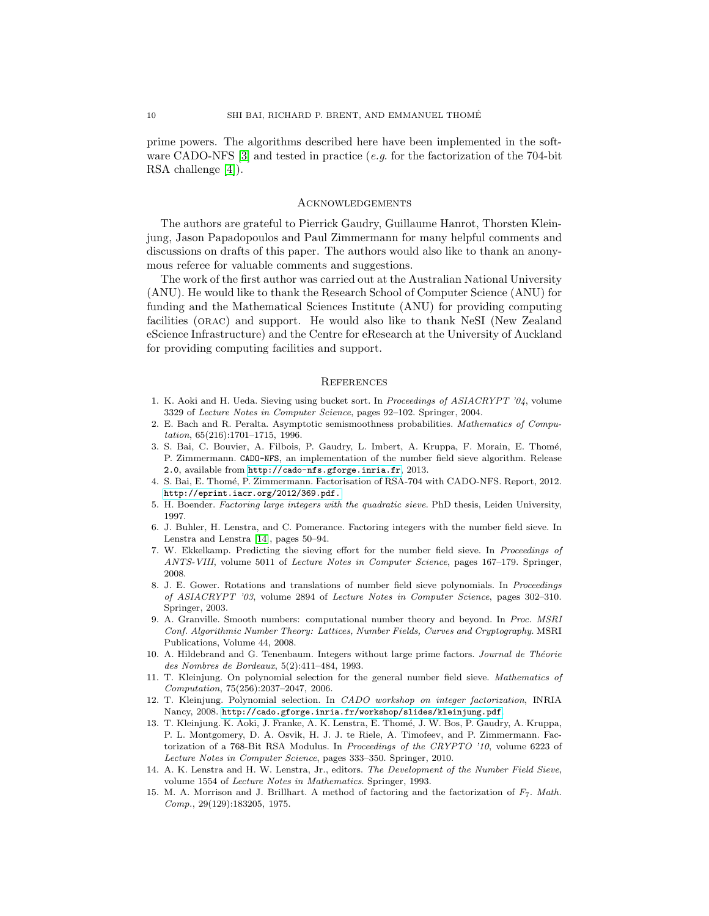prime powers. The algorithms described here have been implemented in the soft-ware CADO-NFS [\[3\]](#page-10-12) and tested in practice (e.g. for the factorization of the 704-bit RSA challenge [\[4\]](#page-10-13)).

#### Acknowledgements

The authors are grateful to Pierrick Gaudry, Guillaume Hanrot, Thorsten Kleinjung, Jason Papadopoulos and Paul Zimmermann for many helpful comments and discussions on drafts of this paper. The authors would also like to thank an anonymous referee for valuable comments and suggestions.

The work of the first author was carried out at the Australian National University (ANU). He would like to thank the Research School of Computer Science (ANU) for funding and the Mathematical Sciences Institute (ANU) for providing computing facilities (orac) and support. He would also like to thank NeSI (New Zealand eScience Infrastructure) and the Centre for eResearch at the University of Auckland for providing computing facilities and support.

#### **REFERENCES**

- 1. K. Aoki and H. Ueda. Sieving using bucket sort. In *Proceedings of ASIACRYPT '04*, volume 3329 of *Lecture Notes in Computer Science*, pages 92–102. Springer, 2004.
- <span id="page-10-8"></span>2. E. Bach and R. Peralta. Asymptotic semismoothness probabilities. *Mathematics of Computation*, 65(216):1701–1715, 1996.
- <span id="page-10-12"></span>3. S. Bai, C. Bouvier, A. Filbois, P. Gaudry, L. Imbert, A. Kruppa, F. Morain, E. Thom´e, P. Zimmermann. CADO-NFS, an implementation of the number field sieve algorithm. Release 2.0, available from <http://cado-nfs.gforge.inria.fr>, 2013.
- <span id="page-10-13"></span>4. S. Bai, E. Thom´e, P. Zimmermann. Factorisation of RSA-704 with CADO-NFS. Report, 2012. <http://eprint.iacr.org/2012/369.pdf.>
- <span id="page-10-9"></span><span id="page-10-1"></span>5. H. Boender. *Factoring large integers with the quadratic sieve*. PhD thesis, Leiden University, 1997.
- 6. J. Buhler, H. Lenstra, and C. Pomerance. Factoring integers with the number field sieve. In Lenstra and Lenstra [\[14\]](#page-10-0), pages 50–94.
- <span id="page-10-7"></span>7. W. Ekkelkamp. Predicting the sieving effort for the number field sieve. In *Proceedings of ANTS-VIII*, volume 5011 of *Lecture Notes in Computer Science*, pages 167–179. Springer, 2008.
- <span id="page-10-11"></span>8. J. E. Gower. Rotations and translations of number field sieve polynomials. In *Proceedings of ASIACRYPT '03*, volume 2894 of *Lecture Notes in Computer Science*, pages 302–310. Springer, 2003.
- <span id="page-10-4"></span>9. A. Granville. Smooth numbers: computational number theory and beyond. In *Proc. MSRI Conf. Algorithmic Number Theory: Lattices, Number Fields, Curves and Cryptography*. MSRI Publications, Volume 44, 2008.
- <span id="page-10-5"></span>10. A. Hildebrand and G. Tenenbaum. Integers without large prime factors. *Journal de Théorie des Nombres de Bordeaux*, 5(2):411–484, 1993.
- <span id="page-10-2"></span>11. T. Kleinjung. On polynomial selection for the general number field sieve. *Mathematics of Computation*, 75(256):2037–2047, 2006.
- <span id="page-10-3"></span>12. T. Kleinjung. Polynomial selection. In *CADO workshop on integer factorization*, INRIA Nancy, 2008. <http://cado.gforge.inria.fr/workshop/slides/kleinjung.pdf>.
- <span id="page-10-10"></span>13. T. Kleinjung. K. Aoki, J. Franke, A. K. Lenstra, E. Thom´e, J. W. Bos, P. Gaudry, A. Kruppa, P. L. Montgomery, D. A. Osvik, H. J. J. te Riele, A. Timofeev, and P. Zimmermann. Factorization of a 768-Bit RSA Modulus. In *Proceedings of the CRYPTO '10*, volume 6223 of *Lecture Notes in Computer Science*, pages 333–350. Springer, 2010.
- <span id="page-10-0"></span>14. A. K. Lenstra and H. W. Lenstra, Jr., editors. *The Development of the Number Field Sieve*, volume 1554 of *Lecture Notes in Mathematics*. Springer, 1993.
- <span id="page-10-6"></span>15. M. A. Morrison and J. Brillhart. A method of factoring and the factorization of F7. *Math. Comp.*, 29(129):183205, 1975.